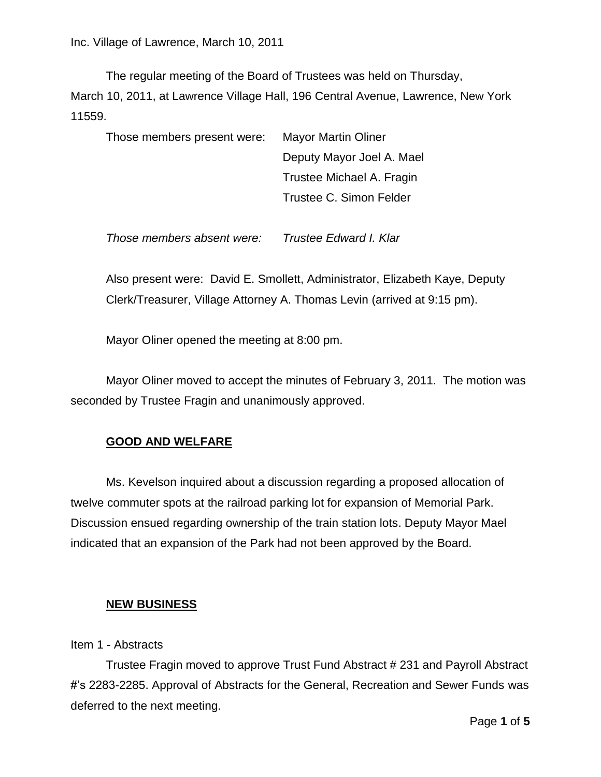The regular meeting of the Board of Trustees was held on Thursday, March 10, 2011, at Lawrence Village Hall, 196 Central Avenue, Lawrence, New York 11559.

| Those members present were: | <b>Mayor Martin Oliner</b> |
|-----------------------------|----------------------------|
|                             | Deputy Mayor Joel A. Mael  |
|                             | Trustee Michael A. Fragin  |
|                             | Trustee C. Simon Felder    |
|                             |                            |

*Those members absent were: Trustee Edward I. Klar*

Also present were: David E. Smollett, Administrator, Elizabeth Kaye, Deputy Clerk/Treasurer, Village Attorney A. Thomas Levin (arrived at 9:15 pm).

Mayor Oliner opened the meeting at 8:00 pm.

Mayor Oliner moved to accept the minutes of February 3, 2011. The motion was seconded by Trustee Fragin and unanimously approved.

## **GOOD AND WELFARE**

Ms. Kevelson inquired about a discussion regarding a proposed allocation of twelve commuter spots at the railroad parking lot for expansion of Memorial Park. Discussion ensued regarding ownership of the train station lots. Deputy Mayor Mael indicated that an expansion of the Park had not been approved by the Board.

## **NEW BUSINESS**

Item 1 - Abstracts

Trustee Fragin moved to approve Trust Fund Abstract # 231 and Payroll Abstract #'s 2283-2285. Approval of Abstracts for the General, Recreation and Sewer Funds was deferred to the next meeting.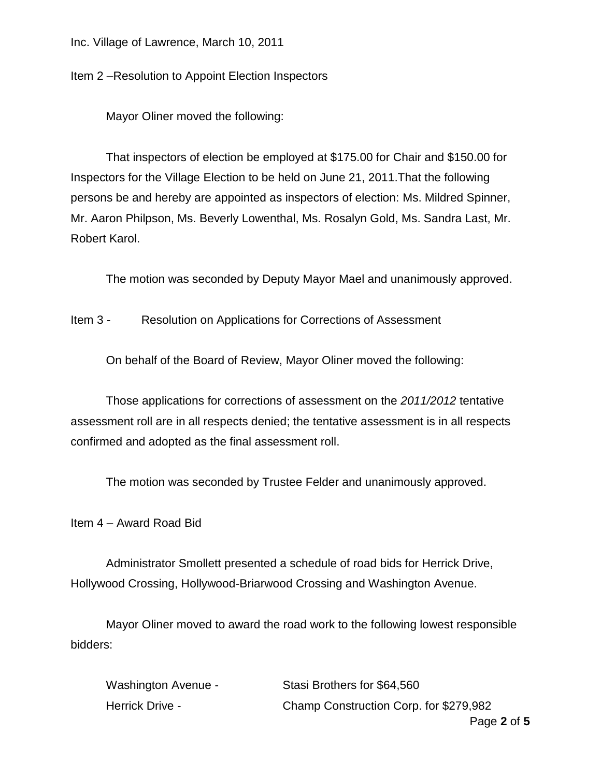Inc. Village of Lawrence, March 10, 2011

Item 2 –Resolution to Appoint Election Inspectors

Mayor Oliner moved the following:

That inspectors of election be employed at \$175.00 for Chair and \$150.00 for Inspectors for the Village Election to be held on June 21, 2011.That the following persons be and hereby are appointed as inspectors of election: Ms. Mildred Spinner, Mr. Aaron Philpson, Ms. Beverly Lowenthal, Ms. Rosalyn Gold, Ms. Sandra Last, Mr. Robert Karol.

The motion was seconded by Deputy Mayor Mael and unanimously approved.

Item 3 - Resolution on Applications for Corrections of Assessment

On behalf of the Board of Review, Mayor Oliner moved the following:

Those applications for corrections of assessment on the *2011/2012* tentative assessment roll are in all respects denied; the tentative assessment is in all respects confirmed and adopted as the final assessment roll.

The motion was seconded by Trustee Felder and unanimously approved.

Item 4 – Award Road Bid

Administrator Smollett presented a schedule of road bids for Herrick Drive, Hollywood Crossing, Hollywood-Briarwood Crossing and Washington Avenue.

Mayor Oliner moved to award the road work to the following lowest responsible bidders:

| Washington Avenue - | Stasi Brothers for \$64,560            |
|---------------------|----------------------------------------|
| Herrick Drive -     | Champ Construction Corp. for \$279,982 |
|                     |                                        |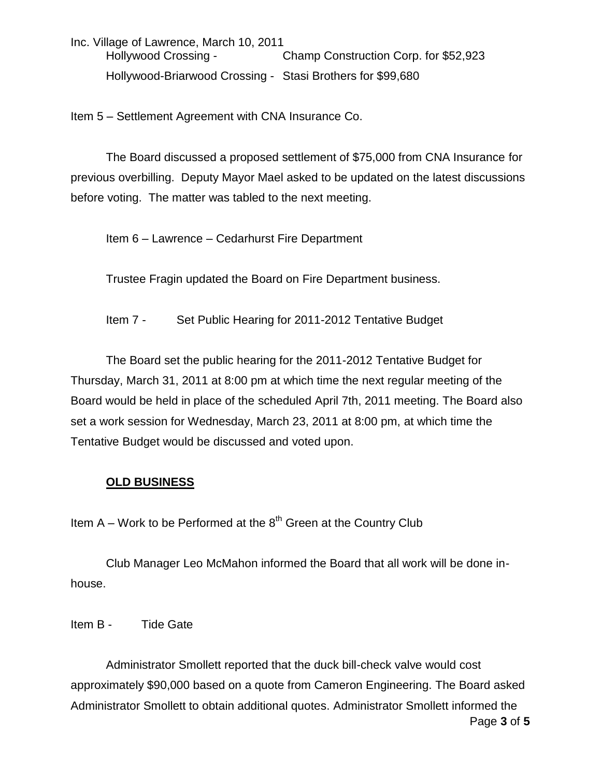Inc. Village of Lawrence, March 10, 2011 Hollywood Crossing - Champ Construction Corp. for \$52,923 Hollywood-Briarwood Crossing - Stasi Brothers for \$99,680

Item 5 – Settlement Agreement with CNA Insurance Co.

The Board discussed a proposed settlement of \$75,000 from CNA Insurance for previous overbilling. Deputy Mayor Mael asked to be updated on the latest discussions before voting. The matter was tabled to the next meeting.

Item 6 – Lawrence – Cedarhurst Fire Department

Trustee Fragin updated the Board on Fire Department business.

Item 7 - Set Public Hearing for 2011-2012 Tentative Budget

The Board set the public hearing for the 2011-2012 Tentative Budget for Thursday, March 31, 2011 at 8:00 pm at which time the next regular meeting of the Board would be held in place of the scheduled April 7th, 2011 meeting. The Board also set a work session for Wednesday, March 23, 2011 at 8:00 pm, at which time the Tentative Budget would be discussed and voted upon.

## **OLD BUSINESS**

Item  $A - W$ ork to be Performed at the  $8<sup>th</sup>$  Green at the Country Club

Club Manager Leo McMahon informed the Board that all work will be done inhouse.

Item B - Tide Gate

Page **3** of **5** Administrator Smollett reported that the duck bill-check valve would cost approximately \$90,000 based on a quote from Cameron Engineering. The Board asked Administrator Smollett to obtain additional quotes. Administrator Smollett informed the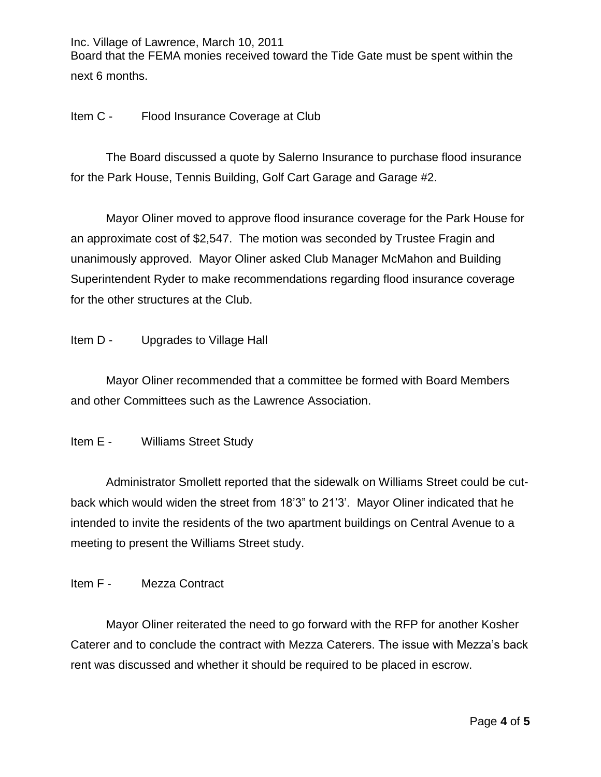Inc. Village of Lawrence, March 10, 2011 Board that the FEMA monies received toward the Tide Gate must be spent within the next 6 months.

Item C - Flood Insurance Coverage at Club

The Board discussed a quote by Salerno Insurance to purchase flood insurance for the Park House, Tennis Building, Golf Cart Garage and Garage #2.

Mayor Oliner moved to approve flood insurance coverage for the Park House for an approximate cost of \$2,547. The motion was seconded by Trustee Fragin and unanimously approved. Mayor Oliner asked Club Manager McMahon and Building Superintendent Ryder to make recommendations regarding flood insurance coverage for the other structures at the Club.

Item D - Upgrades to Village Hall

Mayor Oliner recommended that a committee be formed with Board Members and other Committees such as the Lawrence Association.

Item E - Williams Street Study

Administrator Smollett reported that the sidewalk on Williams Street could be cutback which would widen the street from 18'3" to 21'3'. Mayor Oliner indicated that he intended to invite the residents of the two apartment buildings on Central Avenue to a meeting to present the Williams Street study.

Item F - Mezza Contract

Mayor Oliner reiterated the need to go forward with the RFP for another Kosher Caterer and to conclude the contract with Mezza Caterers. The issue with Mezza's back rent was discussed and whether it should be required to be placed in escrow.